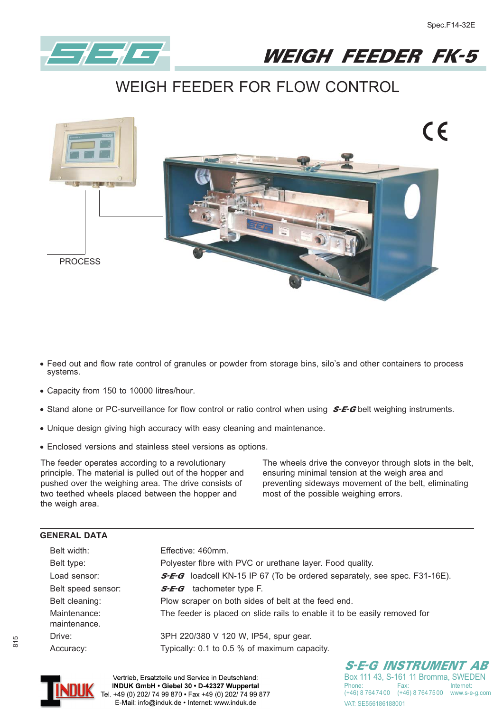



**WEIGH FEEDER FOR FLOW CONTROL**



- **- Feed out and flow rate control of granules or powder from storage bins, silo's and other containers to process systems.**
- **- Capacity from 150 to 10000 litres/hour.**
- **•** Stand alone or PC-surveillance for flow control or ratio control when using **S-E-G** belt weighing instruments.
- **- Unique design giving high accuracy with easy cleaning and maintenance.**
- **- Enclosed versions and stainless steel versions as options.**

The feeder operates according to a revolutionary principle. The material is pulled out of the hopper and pushed over the weighing area. The drive consists of two teethed wheels placed between the hopper and the weigh area.

The wheels drive the conveyor through slots in the belt, ensuring minimal tension at the weigh area and preventing sideways movement of the belt, eliminating most of the possible weighing errors.

| Belt width:                  | Effective: 460mm.                                                                |  |  |  |  |
|------------------------------|----------------------------------------------------------------------------------|--|--|--|--|
| Belt type:                   | Polyester fibre with PVC or urethane layer. Food quality.                        |  |  |  |  |
| Load sensor:                 | <b>S-E-G</b> loadcell KN-15 IP 67 (To be ordered separately, see spec. F31-16E). |  |  |  |  |
| Belt speed sensor:           | tachometer type F.<br>S-E-G                                                      |  |  |  |  |
| Belt cleaning:               | Plow scraper on both sides of belt at the feed end.                              |  |  |  |  |
| Maintenance:<br>maintenance. | The feeder is placed on slide rails to enable it to be easily removed for        |  |  |  |  |
| Drive:                       | 3PH 220/380 V 120 W, IP54, spur gear.                                            |  |  |  |  |
| Accuracy:                    | Typically: 0.1 to 0.5 % of maximum capacity.                                     |  |  |  |  |



Vertrieb, Ersatzteile und Service in Deutschland: INDUK GmbH . Giebel 30 . D-42327 Wuppertal Tel. +49 (0) 202/ 74 99 870 · Fax +49 (0) 202/ 74 99 877 E-Mail: info@induk.de · Internet: www.induk.de

S-E-G INSTRUMENT AB Box 111 43, S-161 11 Bromma, SWEDEN<br>Phone: Fax: Internet: (+46) 8 764 74 00 (+46) 8 764 75 00 www.s-e-g.com VAT: SF556186188001